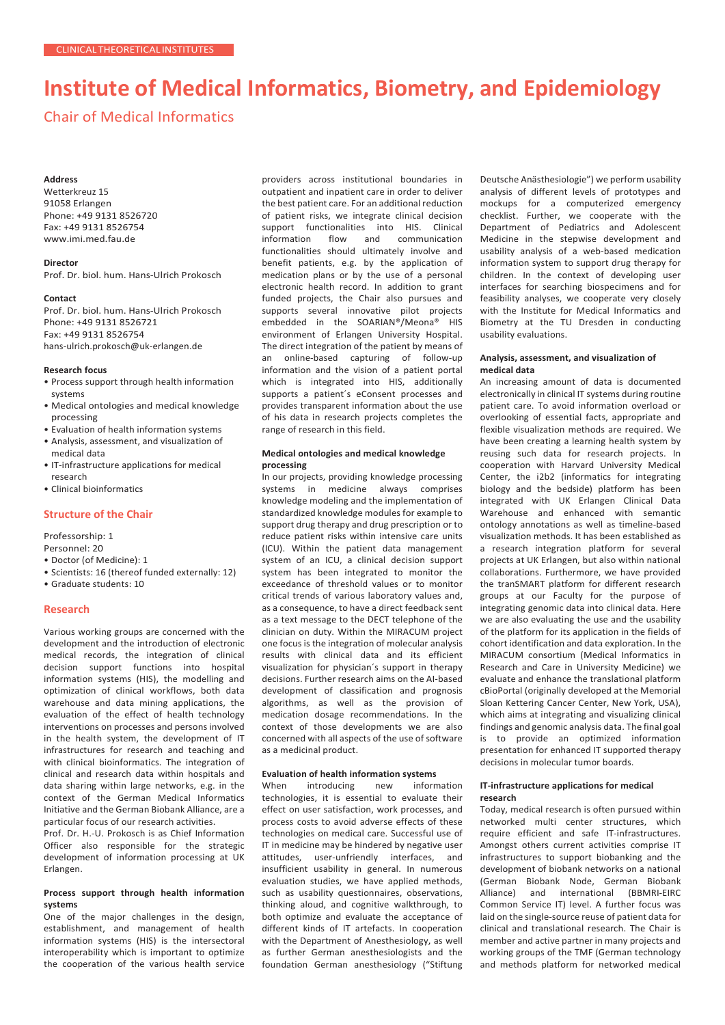# **Institute of Medical Informatics, Biometry, and Epidemiology**

# Chair of Medical Informatics

#### **Address**

Wetterkreuz 15 91058 Erlangen Phone: +49 9131 8526720 Fax: +49 9131 8526754 [www.imi.med.fau.de](http://www.imi.med.fau.de/)

# **Director**

Prof. Dr. biol. hum. Hans-Ulrich Prokosch

#### **Contact**

Prof. Dr. biol. hum. Hans-Ulrich Prokosch Phone: +49 9131 8526721 Fax: +49 9131 8526754 [hans-ulrich.prokosch@uk-erlangen.de](mailto:hans-ulrich.prokosch@uk-erlangen.de)

#### **Research focus**

- Process support through health information systems
- Medical ontologies and medical knowledge processing
- Evaluation of health information systems
- Analysis, assessment, and visualization of medical data
- IT-infrastructure applications for medical research
- Clinical bioinformatics

# **Structure of the Chair**

Professorship: 1

- Personnel: 20
- Doctor (of Medicine): 1
- Scientists: 16 (thereof funded externally: 12) • Graduate students: 10
- 

# **Research**

Various working groups are concerned with the development and the introduction of electronic medical records, the integration of clinical decision support functions into hospital information systems (HIS), the modelling and optimization of clinical workflows, both data warehouse and data mining applications, the evaluation of the effect of health technology interventions on processes and persons involved in the health system, the development of IT infrastructures for research and teaching and with clinical bioinformatics. The integration of clinical and research data within hospitals and data sharing within large networks, e.g. in the context of the German Medical Informatics Initiative and the German Biobank Alliance, are a particular focus of our research activities.

Prof. Dr. H.-U. Prokosch is as Chief Information Officer also responsible for the strategic development of information processing at UK Erlangen.

# **Process support through health information systems**

One of the major challenges in the design, establishment, and management of health information systems (HIS) is the intersectoral interoperability which is important to optimize the cooperation of the various health service providers across institutional boundaries in outpatient and inpatient care in order to deliver the best patient care. For an additional reduction of patient risks, we integrate clinical decision support functionalities into HIS. Clinical<br>information flow and communication communication functionalities should ultimately involve and benefit patients, e.g. by the application of medication plans or by the use of a personal electronic health record. In addition to grant funded projects, the Chair also pursues and supports several innovative pilot projects embedded in the SOARIAN®/Meona® HIS environment of Erlangen University Hospital. The direct integration of the patient by means of an online-based capturing of follow-up information and the vision of a patient portal which is integrated into HIS, additionally supports a patient´s eConsent processes and provides transparent information about the use of his data in research projects completes the range of research in this field.

## **Medical ontologies and medical knowledge processing**

In our projects, providing knowledge processing systems in medicine always comprises knowledge modeling and the implementation of standardized knowledge modules for example to support drug therapy and drug prescription or to reduce patient risks within intensive care units (ICU). Within the patient data management system of an ICU, a clinical decision support system has been integrated to monitor the exceedance of threshold values or to monitor critical trends of various laboratory values and, as a consequence, to have a direct feedback sent as a text message to the DECT telephone of the clinician on duty. Within the MIRACUM project one focus is the integration of molecular analysis results with clinical data and its efficient visualization for physician´s support in therapy decisions. Further research aims on the AI-based development of classification and prognosis algorithms, as well as the provision of medication dosage recommendations. In the context of those developments we are also concerned with all aspects of the use of software as a medicinal product.

#### **Evaluation of health information systems**

When introducing new information technologies, it is essential to evaluate their effect on user satisfaction, work processes, and process costs to avoid adverse effects of these technologies on medical care. Successful use of IT in medicine may be hindered by negative user attitudes, user-unfriendly interfaces, and insufficient usability in general. In numerous evaluation studies, we have applied methods, such as usability questionnaires, observations, thinking aloud, and cognitive walkthrough, to both optimize and evaluate the acceptance of different kinds of IT artefacts. In cooperation with the Department of Anesthesiology, as well as further German anesthesiologists and the foundation German anesthesiology ("Stiftung

Deutsche Anästhesiologie") we perform usability analysis of different levels of prototypes and mockups for a computerized emergency checklist. Further, we cooperate with the Department of Pediatrics and Adolescent Medicine in the stepwise development and usability analysis of a web-based medication information system to support drug therapy for children. In the context of developing user interfaces for searching biospecimens and for feasibility analyses, we cooperate very closely with the Institute for Medical Informatics and Biometry at the TU Dresden in conducting usability evaluations.

## **Analysis, assessment, and visualization of medical data**

An increasing amount of data is documented electronically in clinical IT systems during routine patient care. To avoid information overload or overlooking of essential facts, appropriate and flexible visualization methods are required. We have been creating a learning health system by reusing such data for research projects. In cooperation with Harvard University Medical Center, the i2b2 (informatics for integrating biology and the bedside) platform has been integrated with UK Erlangen Clinical Data Warehouse and enhanced with semantic ontology annotations as well as timeline-based visualization methods. It has been established as a research integration platform for several projects at UK Erlangen, but also within national collaborations. Furthermore, we have provided the tranSMART platform for different research groups at our Faculty for the purpose of integrating genomic data into clinical data. Here we are also evaluating the use and the usability of the platform for its application in the fields of cohort identification and data exploration. In the MIRACUM consortium (Medical Informatics in Research and Care in University Medicine) we evaluate and enhance the translational platform cBioPortal (originally developed at the Memorial Sloan Kettering Cancer Center, New York, USA), which aims at integrating and visualizing clinical findings and genomic analysis data. The final goal is to provide an optimized information presentation for enhanced IT supported therapy decisions in molecular tumor boards.

# **IT-infrastructure applications for medical research**

Today, medical research is often pursued within networked multi center structures, which require efficient and safe IT-infrastructures. Amongst others current activities comprise IT infrastructures to support biobanking and the development of biobank networks on a national (German Biobank Node, German Biobank Alliance) and international (BBMRI-EIRC Common Service IT) level. A further focus was laid on the single-source reuse of patient data for clinical and translational research. The Chair is member and active partner in many projects and working groups of the TMF (German technology and methods platform for networked medical